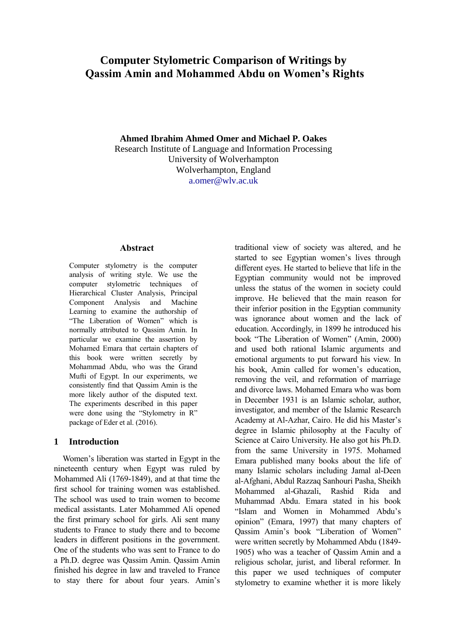# **Computer Stylometric Comparison of Writings by Qassim Amin and Mohammed Abdu on Women's Rights**

**Ahmed Ibrahim Ahmed Omer and Michael P. Oakes**

Research Institute of Language and Information Processing University of Wolverhampton Wolverhampton, England a.omer@wlv.ac.uk

#### **Abstract**

Computer stylometry is the computer analysis of writing style. We use the computer stylometric techniques of Hierarchical Cluster Analysis, Principal Component Analysis and Machine Learning to examine the authorship of "The Liberation of Women" which is normally attributed to Qassim Amin. In particular we examine the assertion by Mohamed Emara that certain chapters of this book were written secretly by Mohammad Abdu, who was the Grand Mufti of Egypt. In our experiments, we consistently find that Qassim Amin is the more likely author of the disputed text. The experiments described in this paper were done using the "Stylometry in R" package of Eder et al. (2016).

## **1 Introduction**

Women's liberation was started in Egypt in the nineteenth century when Egypt was ruled by Mohammed Ali (1769-1849), and at that time the first school for training women was established. The school was used to train women to become medical assistants. Later Mohammed Ali opened the first primary school for girls. Ali sent many students to France to study there and to become leaders in different positions in the government. One of the students who was sent to France to do a Ph.D. degree was Qassim Amin. Qassim Amin finished his degree in law and traveled to France to stay there for about four years. Amin's

traditional view of society was altered, and he started to see Egyptian women's lives through different eyes. He started to believe that life in the Egyptian community would not be improved unless the status of the women in society could improve. He believed that the main reason for their inferior position in the Egyptian community was ignorance about women and the lack of education. Accordingly, in 1899 he introduced his book "The Liberation of Women" (Amin, 2000) and used both rational Islamic arguments and emotional arguments to put forward his view. In his book, Amin called for women's education, removing the veil, and reformation of marriage and divorce laws. Mohamed Emara who was born in December 1931 is an Islamic scholar, author, investigator, and member of the Islamic Research Academy at Al-Azhar, Cairo. He did his Master's degree in Islamic philosophy at the Faculty of Science at Cairo University. He also got his Ph.D. from the same University in 1975. Mohamed Emara published many books about the life of many Islamic scholars including Jamal al-Deen al-Afghani, Abdul Razzaq Sanhouri Pasha, Sheikh Mohammed al-Ghazali, Rashid Rida and Muhammad Abdu. Emara stated in his book "Islam and Women in Mohammed Abdu's opinion" (Emara, 1997) that many chapters of Qassim Amin's book "Liberation of Women" were written secretly by Mohammed Abdu (1849- 1905) who was a teacher of Qassim Amin and a religious scholar, jurist, and liberal reformer. In this paper we used techniques of computer stylometry to examine whether it is more likely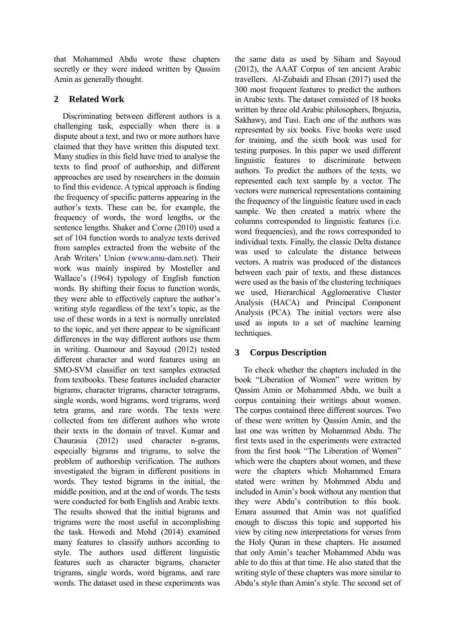that Mohammed Abdu wrote these chapters secretly or they were indeed written by Qassim Amin as generally thought.

## **2 Related Work**

Discriminating between different authors is a challenging task, especially when there is a dispute about a text, and two or more authors have claimed that they have written this disputed text. Many studies in this field have tried to analyse the texts to find proof of authorship, and different approaches are used by researchers in the domain to find this evidence. A typical approach is finding the frequency of specific patterns appearing in the author's texts. These can be, for example, the frequency of words, the word lengths, or the sentence lengths. Shaker and Corne (2010) used a set of 104 function words to analyze texts derived from samples extracted from the website of the Arab Writers' Union [\(www.amu-dam.net\)](http://www.amu-dam.net/). Their work was mainly inspired by Mosteller and Wallace's (1964) typology of English function words. By shifting their focus to function words, they were able to effectively capture the author's writing style regardless of the text's topic, as the use of these words in a text is normally unrelated to the topic, and yet there appear to be significant differences in the way different authors use them in writing. Ouamour and Sayoud (2012) tested different character and word features using an SMO-SVM classifier on text samples extracted from textbooks. These features included character bigrams, character trigrams, character tetragrams, single words, word bigrams, word trigrams, word tetra grams, and rare words. The texts were collected from ten different authors who wrote their texts in the domain of travel. Kumar and Chaurasia (2012) used character n-grams, especially bigrams and trigrams, to solve the problem of authorship verification. The authors investigated the bigram in different positions in words. They tested bigrams in the initial, the middle position, and at the end of words. The tests were conducted for both English and Arabic texts. The results showed that the initial bigrams and trigrams were the most useful in accomplishing the task. Howedi and Mohd (2014) examined many features to classify authors according to style. The authors used different linguistic features such as character bigrams, character trigrams, single words, word bigrams, and rare words. The dataset used in these experiments was

the same data as used by Siham and Sayoud (2012), the AAAT Corpus of ten ancient Arabic travellers. Al-Zubaidi and Ehsan (2017) used the 300 most frequent features to predict the authors in Arabic texts. The dataset consisted of 18 books written by three old Arabic philosophers, Ibnjuzia, Sakhawy, and Tusi. Each one of the authors was represented by six books. Five books were used for training, and the sixth book was used for testing purposes. In this paper we used different linguistic features to discriminate between authors. To predict the authors of the texts, we represented each text sample by a vector. The vectors were numerical representations containing the frequency of the linguistic feature used in each sample. We then created a matrix where the columns corresponded to linguistic features (i.e. word frequencies), and the rows corresponded to individual texts. Finally, the classic Delta distance was used to calculate the distance between vectors. A matrix was produced of the distances between each pair of texts, and these distances were used as the basis of the clustering techniques we used, Hierarchical Agglomerative Cluster Analysis (HACA) and Principal Component Analysis (PCA). The initial vectors were also used as inputs to a set of machine learning techniques.

## **3 Corpus Description**

To check whether the chapters included in the book "Liberation of Women" were written by Qassim Amin or Mohammed Abdu, we built a corpus containing their writings about women. The corpus contained three different sources. Two of these were written by Qassim Amin, and the last one was written by Mohammed Abdu. The first texts used in the experiments were extracted from the first book "The Liberation of Women" which were the chapters about women, and these were the chapters which Mohammed Emara stated were written by Mohmmed Abdu and included in Amin's book without any mention that they were Abdu's contribution to this book. Emara assumed that Amin was not qualified enough to discuss this topic and supported his view by citing new interpretations for verses from the Holy Quran in these chapters. He assumed that only Amin's teacher Mohammed Abdu was able to do this at that time. He also stated that the writing style of these chapters was more similar to Abdu's style than Amin's style. The second set of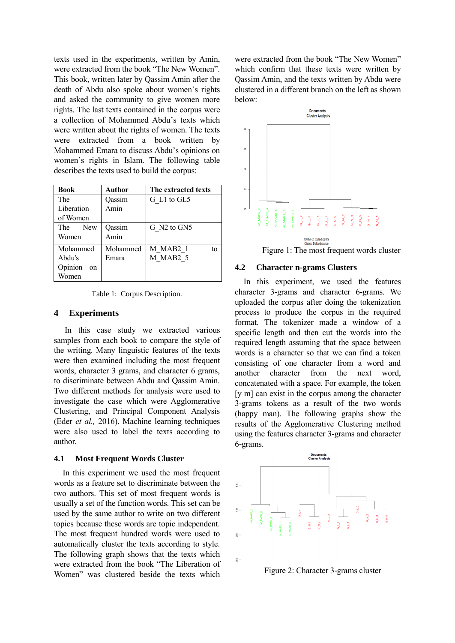texts used in the experiments, written by Amin, were extracted from the book "The New Women". This book, written later by Qassim Amin after the death of Abdu also spoke about women's rights and asked the community to give women more rights. The last texts contained in the corpus were a collection of Mohammed Abdu's texts which were written about the rights of women. The texts were extracted from a book written by Mohammed Emara to discuss Abdu's opinions on women's rights in Islam. The following table describes the texts used to build the corpus:

| <b>Book</b>       | Author   | The extracted texts        |
|-------------------|----------|----------------------------|
| The               | Oassim   | G L1 to GL5                |
| Liberation        | Amin     |                            |
| of Women          |          |                            |
| The<br><b>New</b> | Oassim   | G N2 to GN5                |
| Women             | Amin     |                            |
| Mohammed          | Mohammed | M MAB <sub>2</sub> 1<br>tο |
| Abdu's            | Emara    | M MAB2 5                   |
| Opinion<br>on     |          |                            |
| Women             |          |                            |

Table 1: Corpus Description.

#### **4 Experiments**

In this case study we extracted various samples from each book to compare the style of the writing. Many linguistic features of the texts were then examined including the most frequent words, character 3 grams, and character 6 grams, to discriminate between Abdu and Qassim Amin. Two different methods for analysis were used to investigate the case which were Agglomerative Clustering, and Principal Component Analysis (Eder *et al.,* 2016). Machine learning techniques were also used to label the texts according to author.

#### **4.1 Most Frequent Words Cluster**

In this experiment we used the most frequent words as a feature set to discriminate between the two authors. This set of most frequent words is usually a set of the function words. This set can be used by the same author to write on two different topics because these words are topic independent. The most frequent hundred words were used to automatically cluster the texts according to style. The following graph shows that the texts which were extracted from the book "The Liberation of Women" was clustered beside the texts which

were extracted from the book "The New Women" which confirm that these texts were written by Qassim Amin, and the texts written by Abdu were clustered in a different branch on the left as shown below:



#### Figure 1: The most frequent words cluster

### **4.2 Character n-grams Clusters**

In this experiment, we used the features character 3-grams and character 6-grams. We uploaded the corpus after doing the tokenization process to produce the corpus in the required format. The tokenizer made a window of a specific length and then cut the words into the required length assuming that the space between words is a character so that we can find a token consisting of one character from a word and another character from the next word, concatenated with a space. For example, the token [y m] can exist in the corpus among the character 3-grams tokens as a result of the two words (happy man). The following graphs show the results of the Agglomerative Clustering method using the features character 3-grams and character 6-grams.



Figure 2: Character 3-grams cluster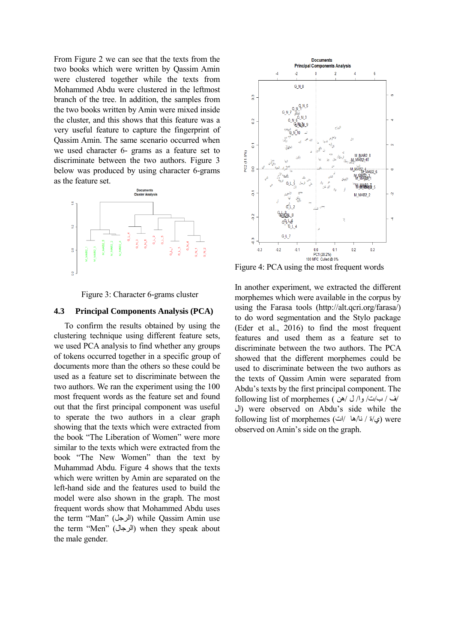From Figure 2 we can see that the texts from the two books which were written by Qassim Amin were clustered together while the texts from Mohammed Abdu were clustered in the leftmost branch of the tree. In addition, the samples from the two books written by Amin were mixed inside the cluster, and this shows that this feature was a very useful feature to capture the fingerprint of Qassim Amin. The same scenario occurred when we used character 6- grams as a feature set to discriminate between the two authors. Figure 3 below was produced by using character 6-grams as the feature set.



Figure 3: Character 6-grams cluster

## **4.3 Principal Components Analysis (PCA)**

To confirm the results obtained by using the clustering technique using different feature sets, we used PCA analysis to find whether any groups of tokens occurred together in a specific group of documents more than the others so these could be used as a feature set to discriminate between the two authors. We ran the experiment using the 100 most frequent words as the feature set and found out that the first principal component was useful to sperate the two authors in a clear graph showing that the texts which were extracted from the book "The Liberation of Women" were more similar to the texts which were extracted from the book "The New Women" than the text by Muhammad Abdu. Figure 4 shows that the texts which were written by Amin are separated on the left-hand side and the features used to build the model were also shown in the graph. The most frequent words show that Mohammed Abdu uses the term "Man" (الرجل) while Qassim Amin use the term "Men" (الرجال) when they speak about the male gender.



Figure 4: PCA using the most frequent words

In another experiment, we extracted the different morphemes which were available in the corpus by using the Farasa tools (http://alt.qcri.org/farasa/) to do word segmentation and the Stylo package (Eder et al., 2016) to find the most frequent features and used them as a feature set to discriminate between the two authors. The PCA showed that the different morphemes could be used to discriminate between the two authors as the texts of Qassim Amin were separated from Abdu's texts by the first principal component. The /ف / ب/ت/ وا/ ل /هن ) morphemes of list following ال (were observed on Abdu's side while the following list of morphemes (ي/ة / نا/ها /ات) were observed on Amin's side on the graph.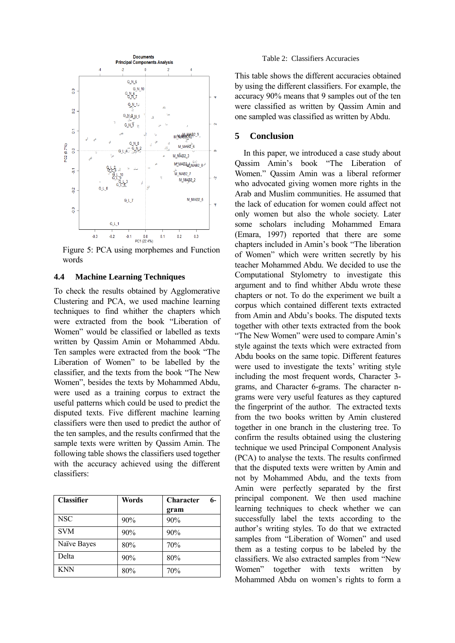

Figure 5: PCA using morphemes and Function words

#### **4.4 Machine Learning Techniques**

To check the results obtained by Agglomerative Clustering and PCA, we used machine learning techniques to find whither the chapters which were extracted from the book "Liberation of Women" would be classified or labelled as texts written by Qassim Amin or Mohammed Abdu. Ten samples were extracted from the book "The Liberation of Women" to be labelled by the classifier, and the texts from the book "The New Women", besides the texts by Mohammed Abdu, were used as a training corpus to extract the useful patterns which could be used to predict the disputed texts. Five different machine learning classifiers were then used to predict the author of the ten samples, and the results confirmed that the sample texts were written by Qassim Amin. The following table shows the classifiers used together with the accuracy achieved using the different classifiers:

| <b>Classifier</b> | Words | <b>Character</b><br>6- |
|-------------------|-------|------------------------|
|                   |       | gram                   |
| <b>NSC</b>        | 90%   | 90%                    |
| <b>SVM</b>        | 90%   | 90%                    |
| Naïve Bayes       | 80%   | 70%                    |
| Delta             | 90%   | 80%                    |
| <b>KNN</b>        | 80%   | 70%                    |

#### Table 2: Classifiers Accuracies

This table shows the different accuracies obtained by using the different classifiers. For example, the accuracy 90% means that 9 samples out of the ten were classified as written by Qassim Amin and one sampled was classified as written by Abdu.

### **5 Conclusion**

In this paper, we introduced a case study about Qassim Amin's book "The Liberation of Women." Qassim Amin was a liberal reformer who advocated giving women more rights in the Arab and Muslim communities. He assumed that the lack of education for women could affect not only women but also the whole society. Later some scholars including Mohammed Emara (Emara, 1997) reported that there are some chapters included in Amin's book "The liberation of Women" which were written secretly by his teacher Mohammed Abdu. We decided to use the Computational Stylometry to investigate this argument and to find whither Abdu wrote these chapters or not. To do the experiment we built a corpus which contained different texts extracted from Amin and Abdu's books. The disputed texts together with other texts extracted from the book "The New Women" were used to compare Amin's style against the texts which were extracted from Abdu books on the same topic. Different features were used to investigate the texts' writing style including the most frequent words, Character 3 grams, and Character 6-grams. The character ngrams were very useful features as they captured the fingerprint of the author. The extracted texts from the two books written by Amin clustered together in one branch in the clustering tree. To confirm the results obtained using the clustering technique we used Principal Component Analysis (PCA) to analyse the texts. The results confirmed that the disputed texts were written by Amin and not by Mohammed Abdu, and the texts from Amin were perfectly separated by the first principal component. We then used machine learning techniques to check whether we can successfully label the texts according to the author's writing styles. To do that we extracted samples from "Liberation of Women" and used them as a testing corpus to be labeled by the classifiers. We also extracted samples from "New Women" together with texts written by Mohammed Abdu on women's rights to form a